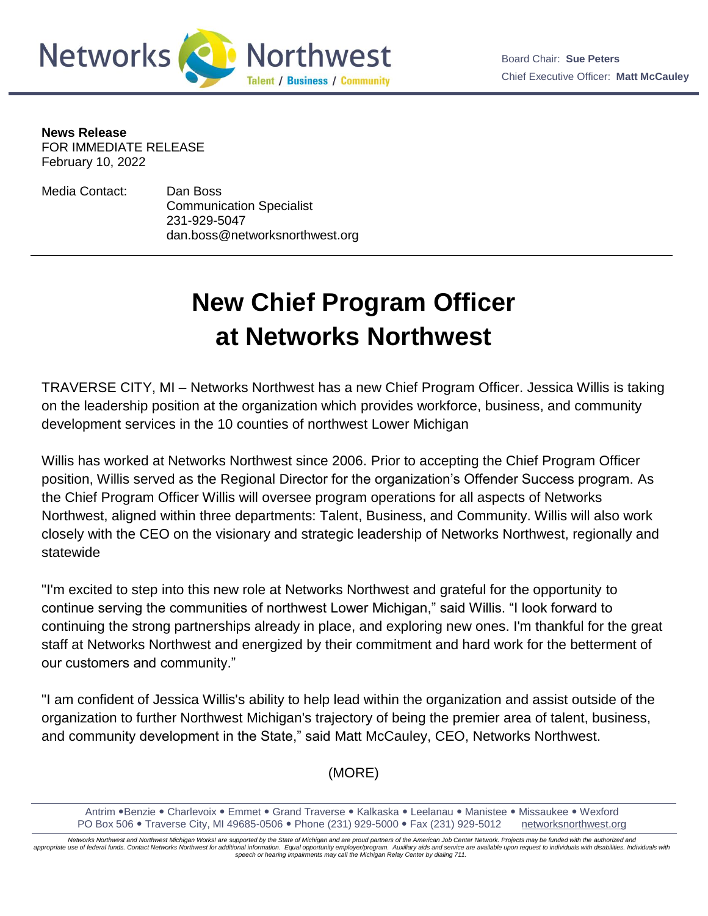

**News Release** FOR IMMEDIATE RELEASE February 10, 2022

Media Contact: Dan Boss Communication Specialist 231-929-5047 dan.boss@networksnorthwest.org

## **New Chief Program Officer at Networks Northwest**

TRAVERSE CITY, MI – Networks Northwest has a new Chief Program Officer. Jessica Willis is taking on the leadership position at the organization which provides workforce, business, and community development services in the 10 counties of northwest Lower Michigan

Willis has worked at Networks Northwest since 2006. Prior to accepting the Chief Program Officer position, Willis served as the Regional Director for the organization's Offender Success program. As the Chief Program Officer Willis will oversee program operations for all aspects of Networks Northwest, aligned within three departments: Talent, Business, and Community. Willis will also work closely with the CEO on the visionary and strategic leadership of Networks Northwest, regionally and statewide

"I'm excited to step into this new role at Networks Northwest and grateful for the opportunity to continue serving the communities of northwest Lower Michigan," said Willis. "I look forward to continuing the strong partnerships already in place, and exploring new ones. I'm thankful for the great staff at Networks Northwest and energized by their commitment and hard work for the betterment of our customers and community."

"I am confident of Jessica Willis's ability to help lead within the organization and assist outside of the organization to further Northwest Michigan's trajectory of being the premier area of talent, business, and community development in the State," said Matt McCauley, CEO, Networks Northwest.

(MORE)

*Networks Northwest and Northwest Michigan Works! are supported by the State of Michigan and are proud partners of the American Job Center Network. Projects may be funded with the authorized and*  appropriate use of federal funds. Contact Networks Northwest for additional information. Equal opportunity employer/program. Auxiliary aids and service are available upon request to individuals with disabilities. Individua *speech or hearing impairments may call the Michigan Relay Center by dialing 711.*

Antrim •Benzie • Charlevoix • Emmet • Grand Traverse • Kalkaska • Leelanau • Manistee • Missaukee • Wexford PO Box 506 Traverse City, MI 49685-0506 Phone (231) 929-5000 Fax (231) 929-5012 [networksnorthwest.org](http://www.nwm.org/)